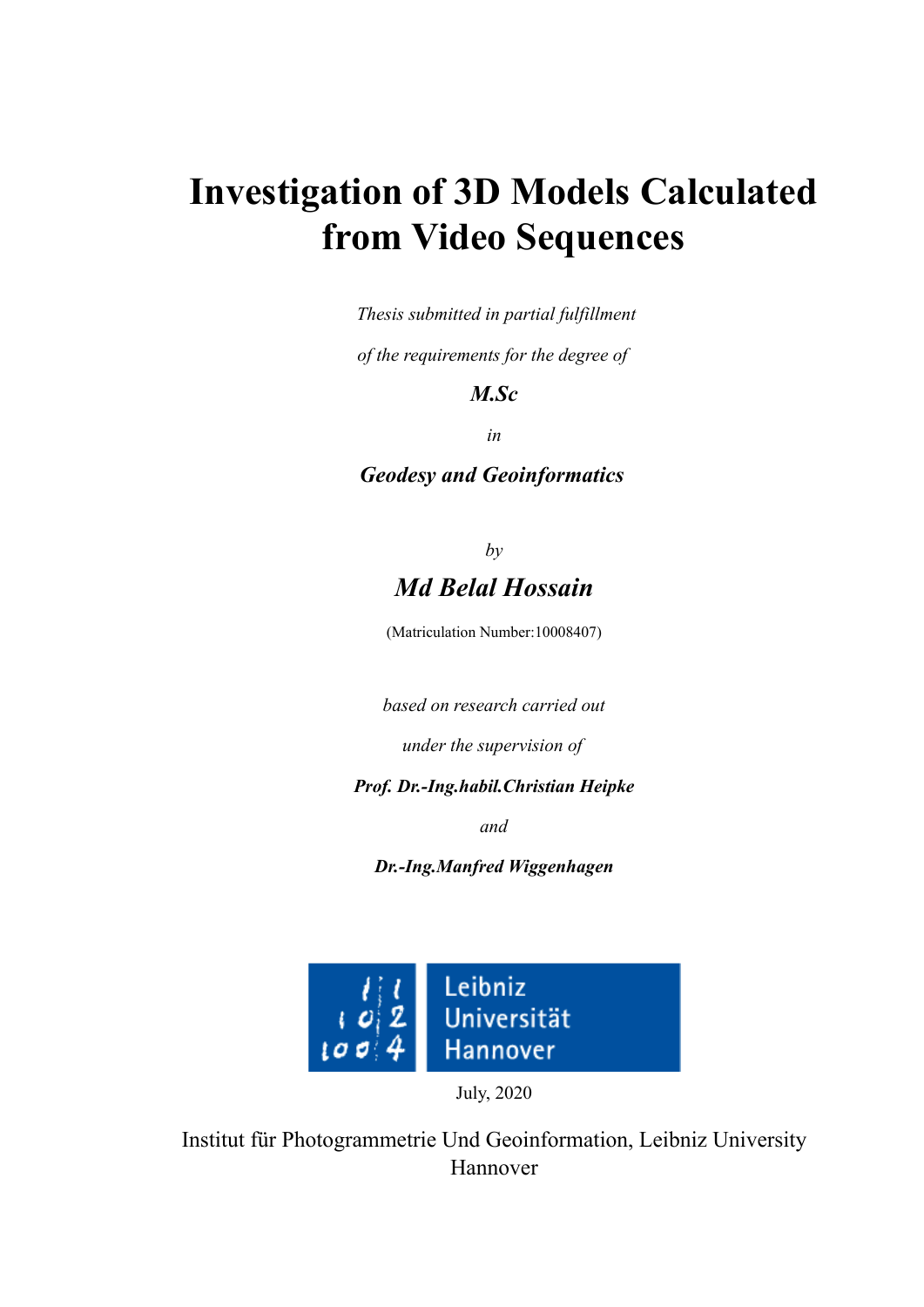## **Investigation of 3D Models Calculated from Video Sequences**

*Thesis submitted in partial fulfillment*

*of the requirements for the degree of*

## *M.Sc*

*in*

*Geodesy and Geoinformatics*

## *by Md Belal Hossain*

(Matriculation Number:10008407)

*based on research carried out*

*under the supervision of*

*Prof. Dr.-Ing.habil.Christian Heipke*

*and*

*Dr.-Ing.Manfred Wiggenhagen*



July, 2020

Institut für Photogrammetrie Und Geoinformation, Leibniz University Hannover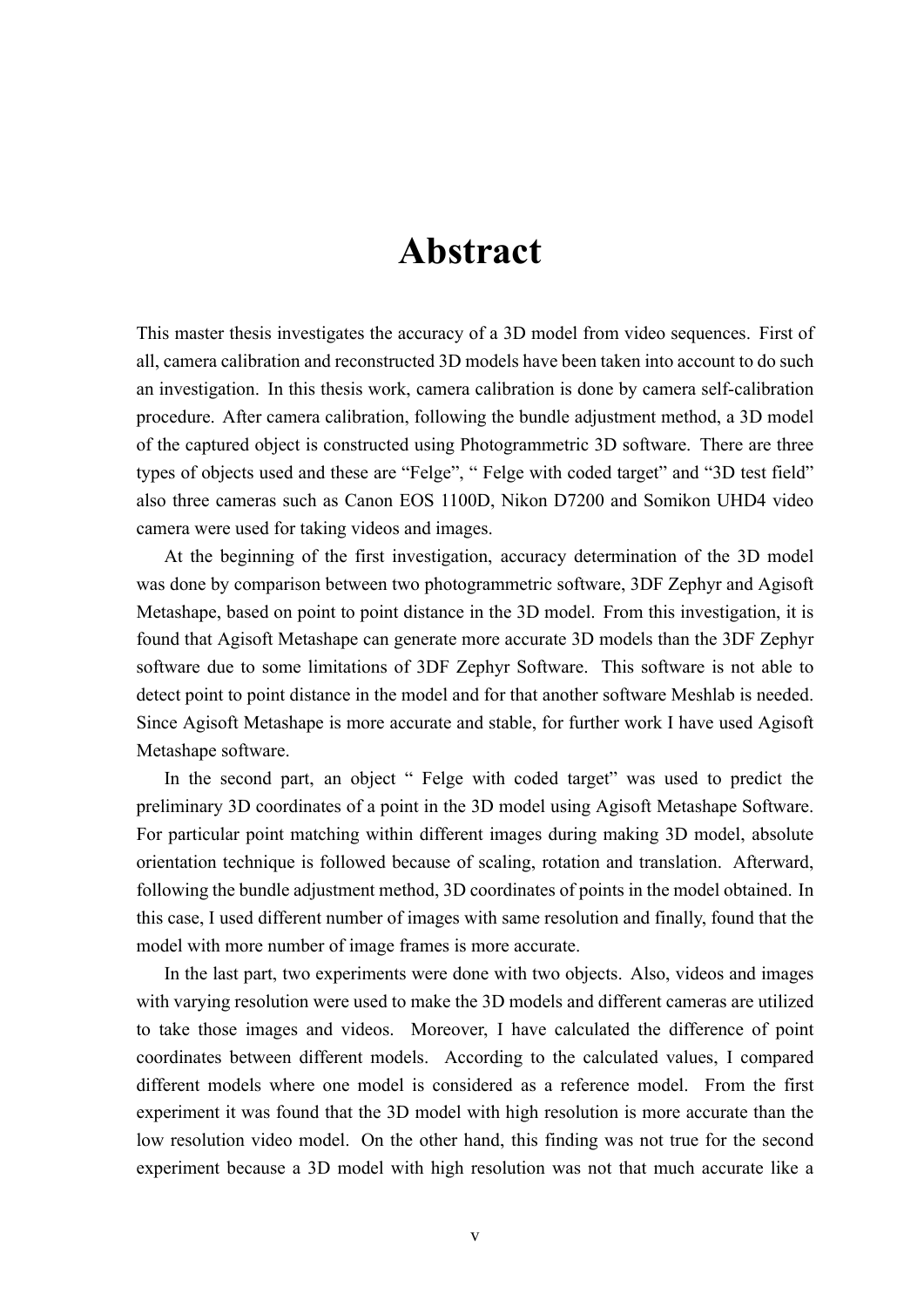## **Abstract**

This master thesis investigates the accuracy of a 3D model from video sequences. First of all, camera calibration and reconstructed 3D models have been taken into account to do such an investigation. In this thesis work, camera calibration is done by camera self-calibration procedure. After camera calibration, following the bundle adjustment method, a 3D model of the captured object is constructed using Photogrammetric 3D software. There are three types of objects used and these are "Felge", " Felge with coded target" and "3D test field" also three cameras such as Canon EOS 1100D, Nikon D7200 and Somikon UHD4 video camera were used for taking videos and images.

At the beginning of the first investigation, accuracy determination of the 3D model was done by comparison between two photogrammetric software, 3DF Zephyr and Agisoft Metashape, based on point to point distance in the 3D model. From this investigation, it is found that Agisoft Metashape can generate more accurate 3D models than the 3DF Zephyr software due to some limitations of 3DF Zephyr Software. This software is not able to detect point to point distance in the model and for that another software Meshlab is needed. Since Agisoft Metashape is more accurate and stable, for further work I have used Agisoft Metashape software.

In the second part, an object " Felge with coded target" was used to predict the preliminary 3D coordinates of a point in the 3D model using Agisoft Metashape Software. For particular point matching within different images during making 3D model, absolute orientation technique is followed because of scaling, rotation and translation. Afterward, following the bundle adjustment method, 3D coordinates of points in the model obtained. In this case, I used different number of images with same resolution and finally, found that the model with more number of image frames is more accurate.

In the last part, two experiments were done with two objects. Also, videos and images with varying resolution were used to make the 3D models and different cameras are utilized to take those images and videos. Moreover, I have calculated the difference of point coordinates between different models. According to the calculated values, I compared different models where one model is considered as a reference model. From the first experiment it was found that the 3D model with high resolution is more accurate than the low resolution video model. On the other hand, this finding was not true for the second experiment because a 3D model with high resolution was not that much accurate like a